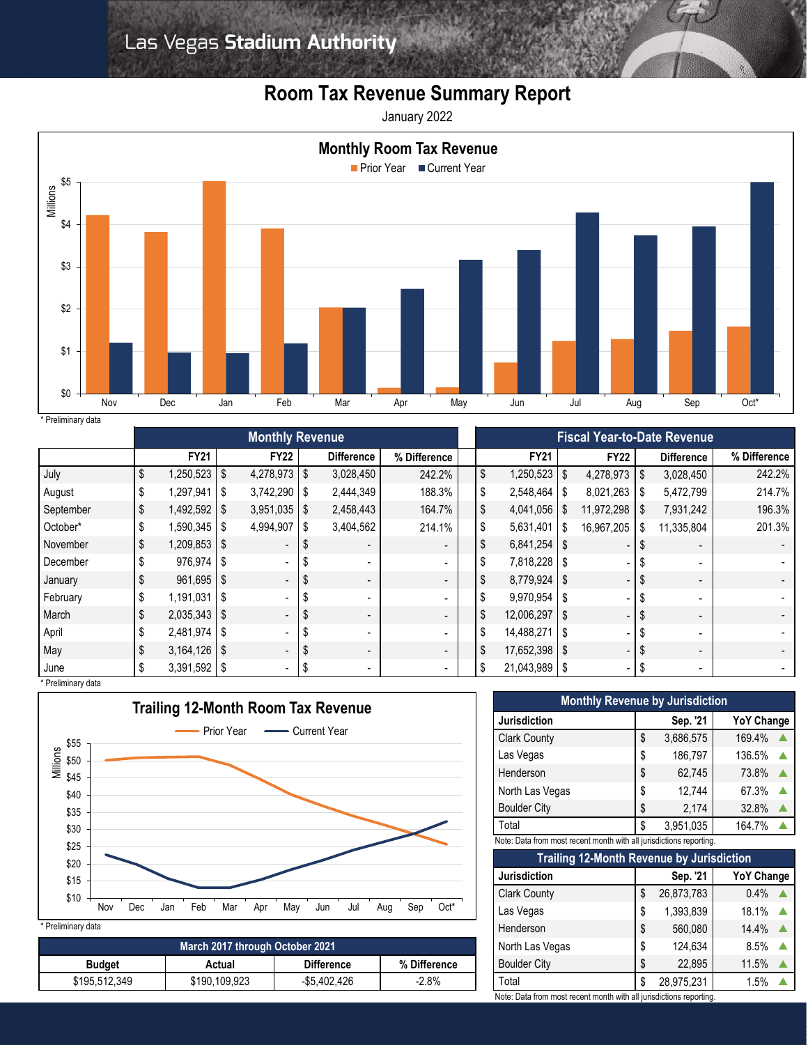## **Room Tax Revenue Summary Report**

January 2022



| * Preliminary data |  |
|--------------------|--|

|                    | <b>Monthly Revenue</b> |           |                          |     |                          |                          |  | <b>Fiscal Year-to-Date Revenue</b> |               |      |                |     |                          |              |
|--------------------|------------------------|-----------|--------------------------|-----|--------------------------|--------------------------|--|------------------------------------|---------------|------|----------------|-----|--------------------------|--------------|
|                    | <b>FY21</b>            |           | <b>FY22</b>              |     | <b>Difference</b>        | % Difference             |  |                                    | <b>FY21</b>   |      | <b>FY22</b>    |     | <b>Difference</b>        | % Difference |
| July               | \$<br>1,250,523        | \$        | 4,278,973 \$             |     | 3,028,450                | 242.2%                   |  | \$                                 | 1,250,523     | \$   | $4,278,973$ \$ |     | 3,028,450                | 242.2%       |
| August             | 1,297,941              | l \$      | $3,742,290$ \ \$         |     | 2,444,349                | 188.3%                   |  | \$                                 | 2,548,464     | \$   | 8,021,263      |     | 5,472,799                | 214.7%       |
| September          | \$<br>$1,492,592$ \$   |           | $3,951,035$ \$           |     | 2,458,443                | 164.7%                   |  | \$                                 | 4,041,056     | S.   | 11,972,298     |     | 7,931,242                | 196.3%       |
| October*           | 1,590,345              | ' \$      | 4,994,907                | l S | 3,404,562                | 214.1%                   |  | \$                                 | 5,631,401     | S.   | 16,967,205     |     | 11,335,804               | 201.3%       |
| November           | \$<br>$1,209,853$ \$   |           | $\blacksquare$           |     |                          | $\overline{\phantom{a}}$ |  | \$                                 | 6,841,254     | S    |                |     |                          |              |
| December           | $976,974$ \$           |           | $\overline{\phantom{a}}$ |     |                          | $\sim$                   |  | \$                                 | 7,818,228 \$  |      |                |     |                          |              |
| January            | $961,695$ \$           |           | $\blacksquare$           |     |                          | $\overline{\phantom{a}}$ |  | \$                                 | 8,779,924     | \$   |                |     |                          |              |
| February           | 1,191,031              | <b>IS</b> | $\overline{\phantom{a}}$ |     |                          | $\sim$                   |  |                                    | 9.970.954     | S    |                |     | $\overline{a}$           |              |
| March              | \$<br>$2,035,343$ \$   |           | $\overline{\phantom{a}}$ |     |                          | $\overline{\phantom{a}}$ |  | \$                                 | 12,006,297    | l \$ |                |     |                          |              |
| April              | $2,481,974$ \$         |           | $\overline{\phantom{a}}$ |     | $\overline{\phantom{0}}$ | $\sim$                   |  | \$                                 | 14,488,271    | l \$ |                |     |                          |              |
| May                | $3,164,126$ \$         |           | $\overline{\phantom{a}}$ |     | $\overline{\phantom{a}}$ | $\blacksquare$           |  | \$                                 | 17,652,398 \$ |      | -              |     | $\overline{\phantom{0}}$ |              |
| June               | $3,391,592$ \$         |           | ٠                        |     | $\overline{\phantom{a}}$ | $\overline{\phantom{a}}$ |  | \$                                 | 21,043,989 \$ |      | -              | ৾৾ঌ | $\overline{\phantom{a}}$ |              |
| * Preliminary data |                        |           |                          |     |                          |                          |  |                                    |               |      |                |     |                          |              |



\* Preliminary data

| March 2017 through October 2021                              |               |              |         |  |  |  |  |
|--------------------------------------------------------------|---------------|--------------|---------|--|--|--|--|
| <b>Difference</b><br>% Difference<br><b>Budget</b><br>Actual |               |              |         |  |  |  |  |
| \$195,512,349                                                | \$190,109,923 | -\$5,402,426 | $-2.8%$ |  |  |  |  |

| <b>Monthly Revenue by Jurisdiction</b> |    |           |                   |  |  |  |  |  |
|----------------------------------------|----|-----------|-------------------|--|--|--|--|--|
| <b>Jurisdiction</b>                    |    | Sep. '21  | <b>YoY Change</b> |  |  |  |  |  |
| <b>Clark County</b>                    | \$ | 3,686,575 | 169.4%            |  |  |  |  |  |
| Las Vegas                              | \$ | 186,797   | 136.5%            |  |  |  |  |  |
| Henderson                              | \$ | 62,745    | 73.8%             |  |  |  |  |  |
| North Las Vegas                        | \$ | 12,744    | 67.3%             |  |  |  |  |  |
| <b>Boulder City</b>                    | \$ | 2,174     | 32.8%             |  |  |  |  |  |
| Total                                  | \$ | 3,951,035 | 164.7%            |  |  |  |  |  |

Note: Data from most recent month with all jurisdictions reporting.

| Trailing 12-Month Revenue by Jurisdiction |    |            |                   |  |  |  |  |  |
|-------------------------------------------|----|------------|-------------------|--|--|--|--|--|
| <b>Jurisdiction</b>                       |    | Sep. '21   | <b>YoY Change</b> |  |  |  |  |  |
| <b>Clark County</b>                       | \$ | 26,873,783 | 0.4%              |  |  |  |  |  |
| Las Vegas                                 | \$ | 1,393,839  | 18.1%             |  |  |  |  |  |
| Henderson                                 | \$ | 560,080    | 14.4%             |  |  |  |  |  |
| North Las Vegas                           | \$ | 124,634    | 8.5%              |  |  |  |  |  |
| <b>Boulder City</b>                       | \$ | 22,895     | 11.5%             |  |  |  |  |  |
| Total                                     | \$ | 28,975,231 | 1.5%              |  |  |  |  |  |

Note: Data from most recent month with all jurisdictions reporting.